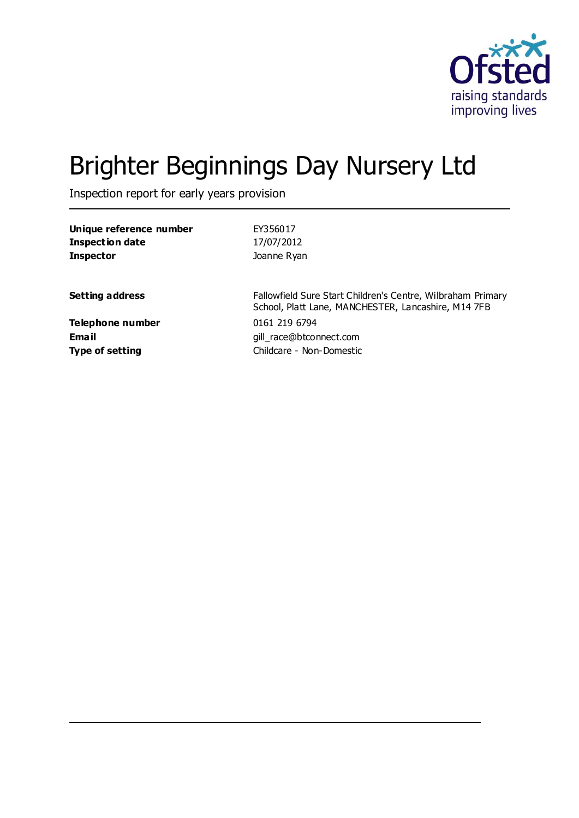

# Brighter Beginnings Day Nursery Ltd

Inspection report for early years provision

| Unique reference number   | EY356017                                                                                                           |
|---------------------------|--------------------------------------------------------------------------------------------------------------------|
| <b>Inspection date</b>    | 17/07/2012                                                                                                         |
| <b>Inspector</b>          | Joanne Ryan                                                                                                        |
| <b>Setting address</b>    | Fallowfield Sure Start Children's Centre, Wilbraham Primary<br>School, Platt Lane, MANCHESTER, Lancashire, M14 7FB |
| Telephone number<br>Email | 0161 219 6794<br>gill race@btconnect.com                                                                           |
| <b>Type of setting</b>    | Childcare - Non-Domestic                                                                                           |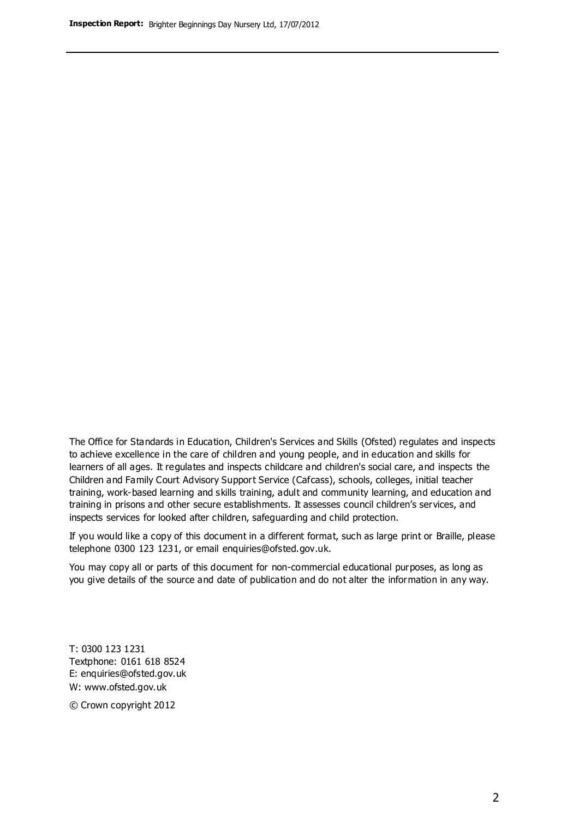The Office for Standards in Education, Children's Services and Skills (Ofsted) regulates and inspects to achieve excellence in the care of children and young people, and in education and skills for learners of all ages. It regulates and inspects childcare and children's social care, and inspects the Children and Family Court Advisory Support Service (Cafcass), schools, colleges, initial teacher training, work-based learning and skills training, adult and community learning, and education and training in prisons and other secure establishments. It assesses council children's services, and inspects services for looked after children, safeguarding and child protection.

If you would like a copy of this document in a different format, such as large print or Braille, please telephone 0300 123 1231, or email enquiries@ofsted.gov.uk.

You may copy all or parts of this document for non-commercial educational purposes, as long as you give details of the source and date of publication and do not alter the information in any way.

T: 0300 123 1231 Textphone: 0161 618 8524 E: enquiries@ofsted.gov.uk W: [www.ofsted.gov.uk](http://www.ofsted.gov.uk/)

© Crown copyright 2012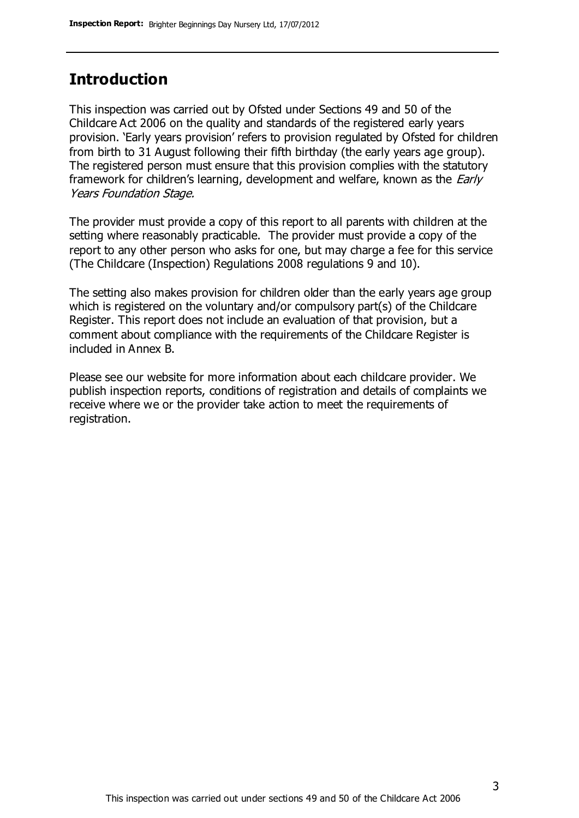#### **Introduction**

This inspection was carried out by Ofsted under Sections 49 and 50 of the Childcare Act 2006 on the quality and standards of the registered early years provision. 'Early years provision' refers to provision regulated by Ofsted for children from birth to 31 August following their fifth birthday (the early years age group). The registered person must ensure that this provision complies with the statutory framework for children's learning, development and welfare, known as the *Early* Years Foundation Stage.

The provider must provide a copy of this report to all parents with children at the setting where reasonably practicable. The provider must provide a copy of the report to any other person who asks for one, but may charge a fee for this service (The Childcare (Inspection) Regulations 2008 regulations 9 and 10).

The setting also makes provision for children older than the early years age group which is registered on the voluntary and/or compulsory part(s) of the Childcare Register. This report does not include an evaluation of that provision, but a comment about compliance with the requirements of the Childcare Register is included in Annex B.

Please see our website for more information about each childcare provider. We publish inspection reports, conditions of registration and details of complaints we receive where we or the provider take action to meet the requirements of registration.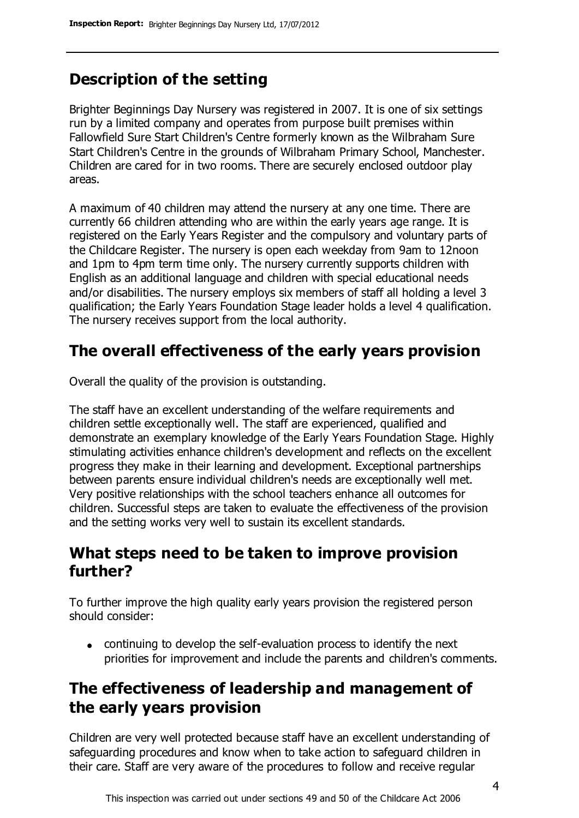## **Description of the setting**

Brighter Beginnings Day Nursery was registered in 2007. It is one of six settings run by a limited company and operates from purpose built premises within Fallowfield Sure Start Children's Centre formerly known as the Wilbraham Sure Start Children's Centre in the grounds of Wilbraham Primary School, Manchester. Children are cared for in two rooms. There are securely enclosed outdoor play areas.

A maximum of 40 children may attend the nursery at any one time. There are currently 66 children attending who are within the early years age range. It is registered on the Early Years Register and the compulsory and voluntary parts of the Childcare Register. The nursery is open each weekday from 9am to 12noon and 1pm to 4pm term time only. The nursery currently supports children with English as an additional language and children with special educational needs and/or disabilities. The nursery employs six members of staff all holding a level 3 qualification; the Early Years Foundation Stage leader holds a level 4 qualification. The nursery receives support from the local authority.

## **The overall effectiveness of the early years provision**

Overall the quality of the provision is outstanding.

The staff have an excellent understanding of the welfare requirements and children settle exceptionally well. The staff are experienced, qualified and demonstrate an exemplary knowledge of the Early Years Foundation Stage. Highly stimulating activities enhance children's development and reflects on the excellent progress they make in their learning and development. Exceptional partnerships between parents ensure individual children's needs are exceptionally well met. Very positive relationships with the school teachers enhance all outcomes for children. Successful steps are taken to evaluate the effectiveness of the provision and the setting works very well to sustain its excellent standards.

### **What steps need to be taken to improve provision further?**

To further improve the high quality early years provision the registered person should consider:

continuing to develop the self-evaluation process to identify the next priorities for improvement and include the parents and children's comments.

## **The effectiveness of leadership and management of the early years provision**

Children are very well protected because staff have an excellent understanding of safeguarding procedures and know when to take action to safeguard children in their care. Staff are very aware of the procedures to follow and receive regular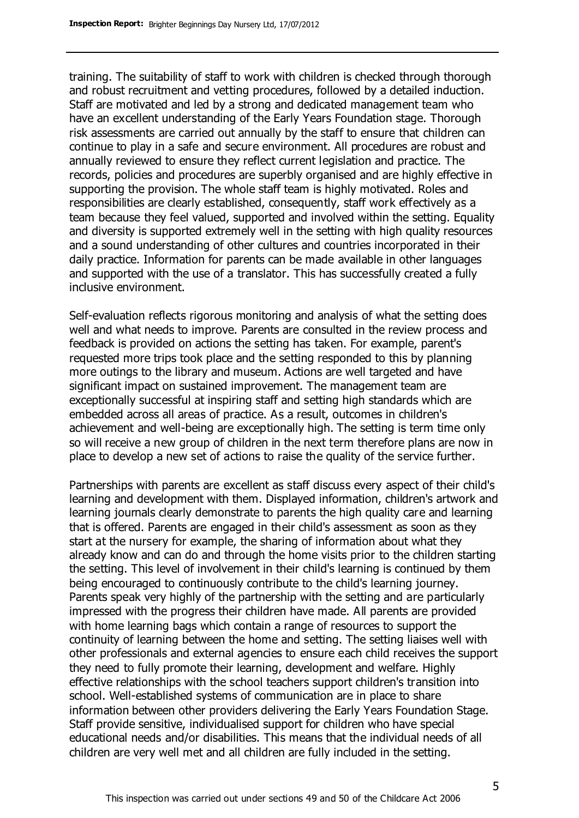training. The suitability of staff to work with children is checked through thorough and robust recruitment and vetting procedures, followed by a detailed induction. Staff are motivated and led by a strong and dedicated management team who have an excellent understanding of the Early Years Foundation stage. Thorough risk assessments are carried out annually by the staff to ensure that children can continue to play in a safe and secure environment. All procedures are robust and annually reviewed to ensure they reflect current legislation and practice. The records, policies and procedures are superbly organised and are highly effective in supporting the provision. The whole staff team is highly motivated. Roles and responsibilities are clearly established, consequently, staff work effectively as a team because they feel valued, supported and involved within the setting. Equality and diversity is supported extremely well in the setting with high quality resources and a sound understanding of other cultures and countries incorporated in their daily practice. Information for parents can be made available in other languages and supported with the use of a translator. This has successfully created a fully inclusive environment.

Self-evaluation reflects rigorous monitoring and analysis of what the setting does well and what needs to improve. Parents are consulted in the review process and feedback is provided on actions the setting has taken. For example, parent's requested more trips took place and the setting responded to this by planning more outings to the library and museum. Actions are well targeted and have significant impact on sustained improvement. The management team are exceptionally successful at inspiring staff and setting high standards which are embedded across all areas of practice. As a result, outcomes in children's achievement and well-being are exceptionally high. The setting is term time only so will receive a new group of children in the next term therefore plans are now in place to develop a new set of actions to raise the quality of the service further.

Partnerships with parents are excellent as staff discuss every aspect of their child's learning and development with them. Displayed information, children's artwork and learning journals clearly demonstrate to parents the high quality care and learning that is offered. Parents are engaged in their child's assessment as soon as they start at the nursery for example, the sharing of information about what they already know and can do and through the home visits prior to the children starting the setting. This level of involvement in their child's learning is continued by them being encouraged to continuously contribute to the child's learning journey. Parents speak very highly of the partnership with the setting and are particularly impressed with the progress their children have made. All parents are provided with home learning bags which contain a range of resources to support the continuity of learning between the home and setting. The setting liaises well with other professionals and external agencies to ensure each child receives the support they need to fully promote their learning, development and welfare. Highly effective relationships with the school teachers support children's transition into school. Well-established systems of communication are in place to share information between other providers delivering the Early Years Foundation Stage. Staff provide sensitive, individualised support for children who have special educational needs and/or disabilities. This means that the individual needs of all children are very well met and all children are fully included in the setting.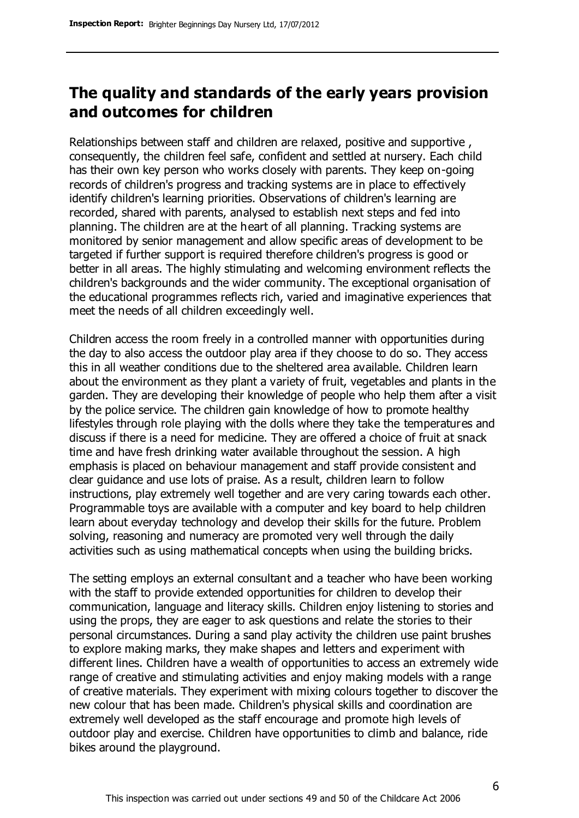#### **The quality and standards of the early years provision and outcomes for children**

Relationships between staff and children are relaxed, positive and supportive , consequently, the children feel safe, confident and settled at nursery. Each child has their own key person who works closely with parents. They keep on-going records of children's progress and tracking systems are in place to effectively identify children's learning priorities. Observations of children's learning are recorded, shared with parents, analysed to establish next steps and fed into planning. The children are at the heart of all planning. Tracking systems are monitored by senior management and allow specific areas of development to be targeted if further support is required therefore children's progress is good or better in all areas. The highly stimulating and welcoming environment reflects the children's backgrounds and the wider community. The exceptional organisation of the educational programmes reflects rich, varied and imaginative experiences that meet the needs of all children exceedingly well.

Children access the room freely in a controlled manner with opportunities during the day to also access the outdoor play area if they choose to do so. They access this in all weather conditions due to the sheltered area available. Children learn about the environment as they plant a variety of fruit, vegetables and plants in the garden. They are developing their knowledge of people who help them after a visit by the police service. The children gain knowledge of how to promote healthy lifestyles through role playing with the dolls where they take the temperatures and discuss if there is a need for medicine. They are offered a choice of fruit at snack time and have fresh drinking water available throughout the session. A high emphasis is placed on behaviour management and staff provide consistent and clear guidance and use lots of praise. As a result, children learn to follow instructions, play extremely well together and are very caring towards each other. Programmable toys are available with a computer and key board to help children learn about everyday technology and develop their skills for the future. Problem solving, reasoning and numeracy are promoted very well through the daily activities such as using mathematical concepts when using the building bricks.

The setting employs an external consultant and a teacher who have been working with the staff to provide extended opportunities for children to develop their communication, language and literacy skills. Children enjoy listening to stories and using the props, they are eager to ask questions and relate the stories to their personal circumstances. During a sand play activity the children use paint brushes to explore making marks, they make shapes and letters and experiment with different lines. Children have a wealth of opportunities to access an extremely wide range of creative and stimulating activities and enjoy making models with a range of creative materials. They experiment with mixing colours together to discover the new colour that has been made. Children's physical skills and coordination are extremely well developed as the staff encourage and promote high levels of outdoor play and exercise. Children have opportunities to climb and balance, ride bikes around the playground.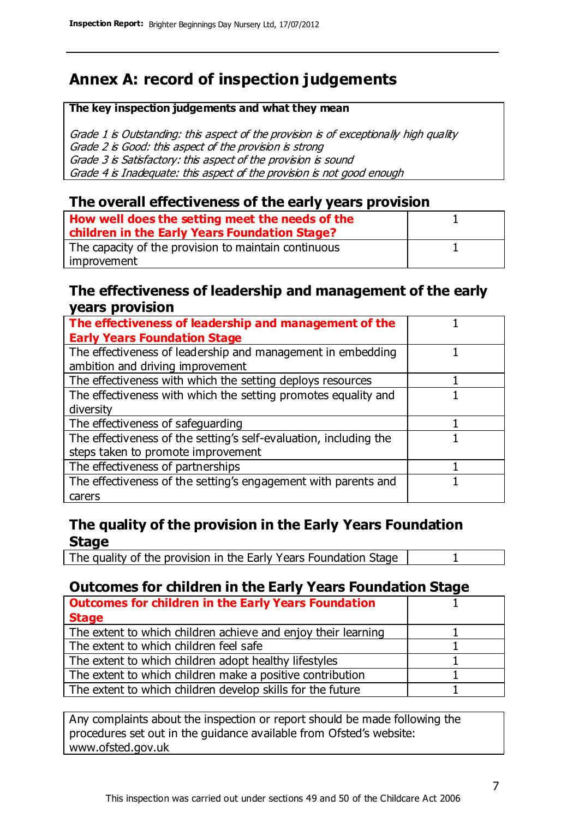## **Annex A: record of inspection judgements**

#### **The key inspection judgements and what they mean**

Grade 1 is Outstanding: this aspect of the provision is of exceptionally high quality Grade 2 is Good: this aspect of the provision is strong Grade 3 is Satisfactory: this aspect of the provision is sound Grade 4 is Inadequate: this aspect of the provision is not good enough

#### **The overall effectiveness of the early years provision**

| How well does the setting meet the needs of the<br>children in the Early Years Foundation Stage? |  |
|--------------------------------------------------------------------------------------------------|--|
| The capacity of the provision to maintain continuous                                             |  |
| improvement                                                                                      |  |

#### **The effectiveness of leadership and management of the early years provision**

| The effectiveness of leadership and management of the             |  |
|-------------------------------------------------------------------|--|
| <b>Early Years Foundation Stage</b>                               |  |
| The effectiveness of leadership and management in embedding       |  |
| ambition and driving improvement                                  |  |
| The effectiveness with which the setting deploys resources        |  |
| The effectiveness with which the setting promotes equality and    |  |
| diversity                                                         |  |
| The effectiveness of safeguarding                                 |  |
| The effectiveness of the setting's self-evaluation, including the |  |
| steps taken to promote improvement                                |  |
| The effectiveness of partnerships                                 |  |
| The effectiveness of the setting's engagement with parents and    |  |
| carers                                                            |  |

#### **The quality of the provision in the Early Years Foundation Stage**

The quality of the provision in the Early Years Foundation Stage | 1

#### **Outcomes for children in the Early Years Foundation Stage**

| <b>Outcomes for children in the Early Years Foundation</b>    |  |
|---------------------------------------------------------------|--|
| <b>Stage</b>                                                  |  |
| The extent to which children achieve and enjoy their learning |  |
| The extent to which children feel safe                        |  |
| The extent to which children adopt healthy lifestyles         |  |
| The extent to which children make a positive contribution     |  |
| The extent to which children develop skills for the future    |  |

Any complaints about the inspection or report should be made following the procedures set out in the guidance available from Ofsted's website: www.ofsted.gov.uk